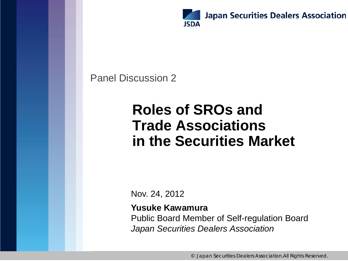

#### Panel Discussion 2

### **Roles of SROs and Trade Associations in the Securities Market**

Nov. 24, 2012

#### **Yusuke Kawamura**

Public Board Member of Self-regulation Board *Japan Securities Dealers Association*

© Japan Securities Dealers Association.All Rights Reserved.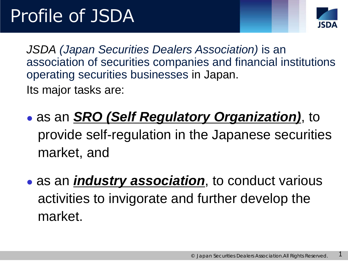

1

*JSDA (Japan Securities Dealers Association)* is an association of securities companies and financial institutions operating securities businesses in Japan.

Its major tasks are:

 as an *SRO (Self Regulatory Organization)*, to provide self-regulation in the Japanese securities market, and

 as an *industry association*, to conduct various activities to invigorate and further develop the market.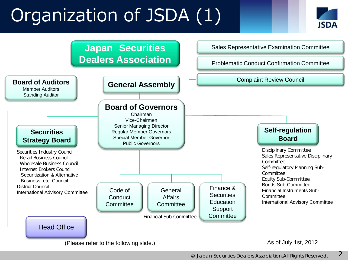# Organization of JSDA (1)



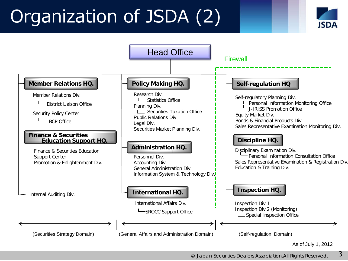# Organization of JSDA (2)





© Japan Securities Dealers Association.All Rights Reserved. 3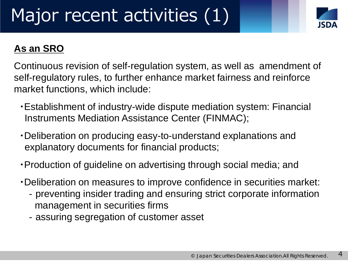

#### **As an SRO**

Continuous revision of self-regulation system, as well as amendment of self-regulatory rules, to further enhance market fairness and reinforce market functions, which include:

- ・Establishment of industry-wide dispute mediation system: Financial Instruments Mediation Assistance Center (FINMAC);
- ・Deliberation on producing easy-to-understand explanations and explanatory documents for financial products;
- ・Production of guideline on advertising through social media; and
- ・Deliberation on measures to improve confidence in securities market:
	- ‐preventing insider trading and ensuring strict corporate information management in securities firms
	- ‐assuring segregation of customer asset